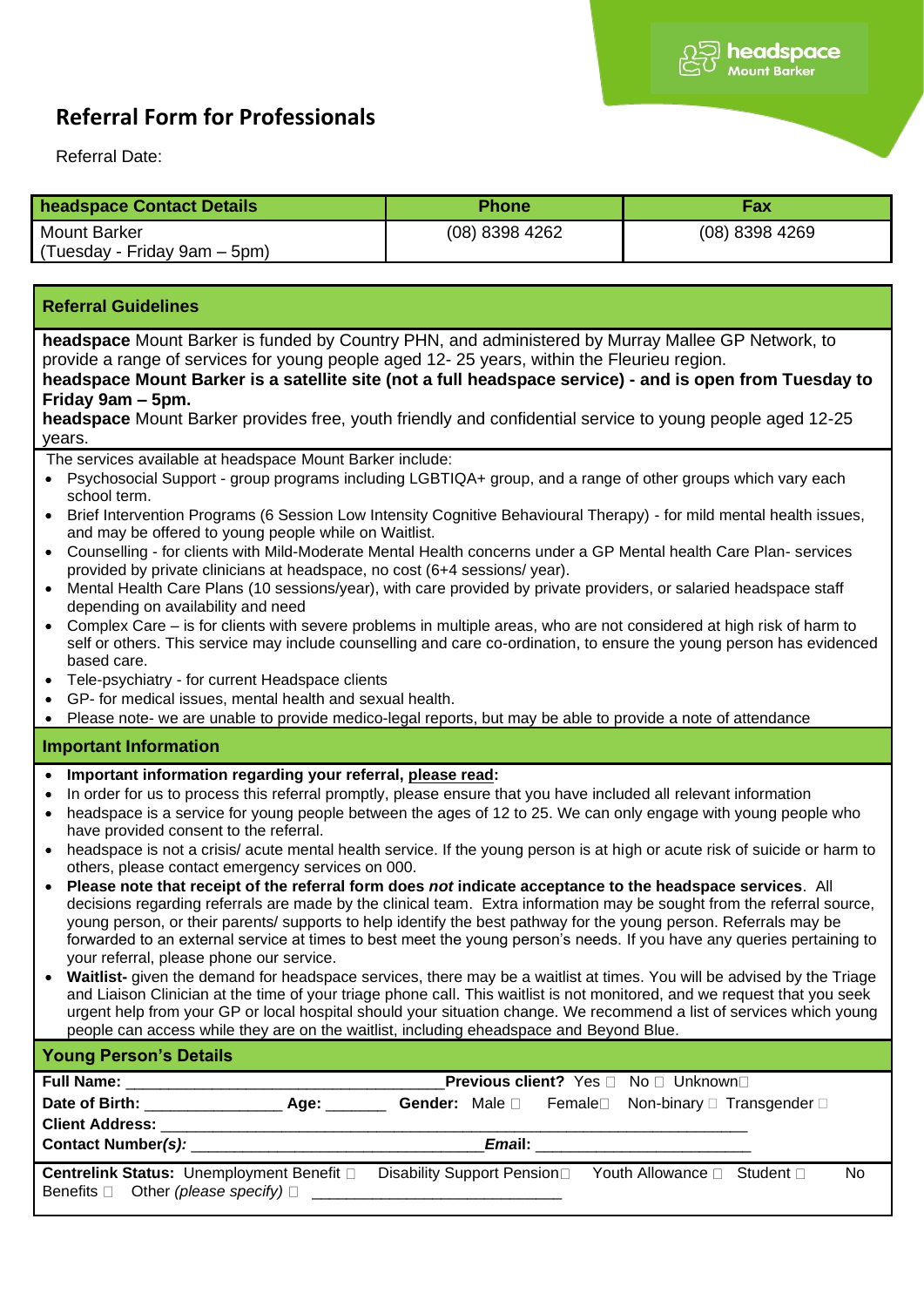# **Referral Form for Professionals**

## Referral Date:

| <b>headspace Contact Details</b>                    | <b>Phone</b>     | Fax              |
|-----------------------------------------------------|------------------|------------------|
| <b>Mount Barker</b><br>(Tuesday - Friday 9am – 5pm) | $(08)$ 8398 4262 | $(08)$ 8398 4269 |

**neadspace** Mount Barker

## **Referral Guidelines**

**headspace** Mount Barker is funded by Country PHN, and administered by Murray Mallee GP Network, to provide a range of services for young people aged 12- 25 years, within the Fleurieu region.

**headspace Mount Barker is a satellite site (not a full headspace service) - and is open from Tuesday to Friday 9am – 5pm.**

**headspace** Mount Barker provides free, youth friendly and confidential service to young people aged 12-25 years.

The services available at headspace Mount Barker include:

- Psychosocial Support group programs including LGBTIQA+ group, and a range of other groups which vary each school term.
- Brief Intervention Programs (6 Session Low Intensity Cognitive Behavioural Therapy) for mild mental health issues, and may be offered to young people while on Waitlist.
- Counselling for clients with Mild-Moderate Mental Health concerns under a GP Mental health Care Plan- services provided by private clinicians at headspace, no cost (6+4 sessions/ year).
- Mental Health Care Plans (10 sessions/year), with care provided by private providers, or salaried headspace staff depending on availability and need
- Complex Care is for clients with severe problems in multiple areas, who are not considered at high risk of harm to self or others. This service may include counselling and care co-ordination, to ensure the young person has evidenced based care.
- Tele-psychiatry for current Headspace clients
- GP- for medical issues, mental health and sexual health.
- Please note- we are unable to provide medico-legal reports, but may be able to provide a note of attendance

#### **Important Information**

- **Important information regarding your referral, please read:**
- In order for us to process this referral promptly, please ensure that you have included all relevant information
- headspace is a service for young people between the ages of 12 to 25. We can only engage with young people who have provided consent to the referral.
- headspace is not a crisis/ acute mental health service. If the young person is at high or acute risk of suicide or harm to others, please contact emergency services on 000.
- **Please note that receipt of the referral form does** *not* **indicate acceptance to the headspace services**. All decisions regarding referrals are made by the clinical team. Extra information may be sought from the referral source, young person, or their parents/ supports to help identify the best pathway for the young person. Referrals may be forwarded to an external service at times to best meet the young person's needs. If you have any queries pertaining to your referral, please phone our service.
- **Waitlist-** given the demand for headspace services, there may be a waitlist at times. You will be advised by the Triage and Liaison Clinician at the time of your triage phone call. This waitlist is not monitored, and we request that you seek urgent help from your GP or local hospital should your situation change. We recommend a list of services which young people can access while they are on the waitlist, including eheadspace and Beyond Blue.

#### **Young Person's Details**

| <b>Full Name:</b>                                                                                                                                                                                                                                                                             |                | <b>Previous client?</b> Yes □ No □ Unknown□                                   |  |
|-----------------------------------------------------------------------------------------------------------------------------------------------------------------------------------------------------------------------------------------------------------------------------------------------|----------------|-------------------------------------------------------------------------------|--|
| Date of Birth: the contract of the contract of $\mathbf{B}$<br>Age: the contract of the contract of the contract of the contract of the contract of the contract of the contract of the contract of the contract of the contract of the contract of the contract of the contract of the contr |                | <b>Gender:</b> Male $\Box$ Female $\Box$ Non-binary $\Box$ Transgender $\Box$ |  |
| <b>Client Address:</b> Client Address:                                                                                                                                                                                                                                                        |                |                                                                               |  |
|                                                                                                                                                                                                                                                                                               | <i>Ema</i> il: | <u> 1980 - Johann Stein, mars an deus Amerikaansk kommunister (</u>           |  |
| Centrelink Status: Unemployment Benefit [                                                                                                                                                                                                                                                     |                | No.<br>Disability Support Pension□ Youth Allowance □ Student □                |  |